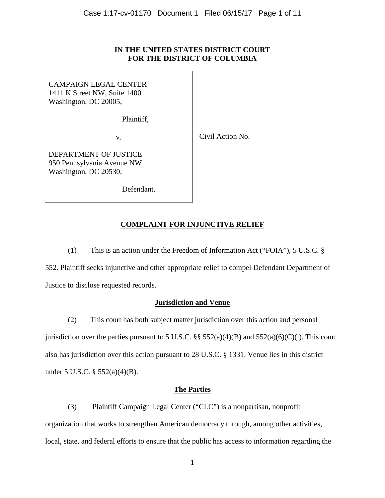#### **IN THE UNITED STATES DISTRICT COURT FOR THE DISTRICT OF COLUMBIA**

CAMPAIGN LEGAL CENTER 1411 K Street NW, Suite 1400 Washington, DC 20005,

Plaintiff,

v.

Civil Action No.

DEPARTMENT OF JUSTICE 950 Pennsylvania Avenue NW Washington, DC 20530,

Defendant.

## **COMPLAINT FOR INJUNCTIVE RELIEF**

(1) This is an action under the Freedom of Information Act ("FOIA"), 5 U.S.C. §

552. Plaintiff seeks injunctive and other appropriate relief to compel Defendant Department of Justice to disclose requested records.

### **Jurisdiction and Venue**

(2) This court has both subject matter jurisdiction over this action and personal jurisdiction over the parties pursuant to 5 U.S.C.  $\S\S 552(a)(4)(B)$  and  $552(a)(6)(C)(i)$ . This court also has jurisdiction over this action pursuant to 28 U.S.C. § 1331. Venue lies in this district under 5 U.S.C. § 552(a)(4)(B).

#### **The Parties**

(3) Plaintiff Campaign Legal Center ("CLC") is a nonpartisan, nonprofit organization that works to strengthen American democracy through, among other activities, local, state, and federal efforts to ensure that the public has access to information regarding the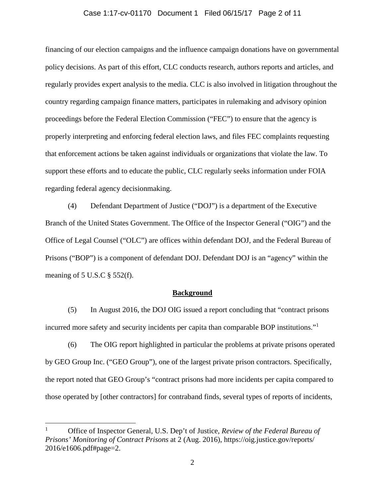#### Case 1:17-cv-01170 Document 1 Filed 06/15/17 Page 2 of 11

financing of our election campaigns and the influence campaign donations have on governmental policy decisions. As part of this effort, CLC conducts research, authors reports and articles, and regularly provides expert analysis to the media. CLC is also involved in litigation throughout the country regarding campaign finance matters, participates in rulemaking and advisory opinion proceedings before the Federal Election Commission ("FEC") to ensure that the agency is properly interpreting and enforcing federal election laws, and files FEC complaints requesting that enforcement actions be taken against individuals or organizations that violate the law. To support these efforts and to educate the public, CLC regularly seeks information under FOIA regarding federal agency decisionmaking.

(4) Defendant Department of Justice ("DOJ") is a department of the Executive Branch of the United States Government. The Office of the Inspector General ("OIG") and the Office of Legal Counsel ("OLC") are offices within defendant DOJ, and the Federal Bureau of Prisons ("BOP") is a component of defendant DOJ. Defendant DOJ is an "agency" within the meaning of  $5 \text{ U.S. C} \$  $552 \text{ (f)}$ .

#### **Background**

(5) In August 2016, the DOJ OIG issued a report concluding that "contract prisons incurred more safety and security incidents per capita than comparable BOP institutions."[1](#page-1-0)

(6) The OIG report highlighted in particular the problems at private prisons operated by GEO Group Inc. ("GEO Group"), one of the largest private prison contractors. Specifically, the report noted that GEO Group's "contract prisons had more incidents per capita compared to those operated by [other contractors] for contraband finds, several types of reports of incidents,

<span id="page-1-0"></span> <sup>1</sup> Office of Inspector General, U.S. Dep't of Justice, *Review of the Federal Bureau of Prisons' Monitoring of Contract Prisons* at 2 (Aug. 2016), https://oig.justice.gov/reports/ 2016/e1606.pdf#page=2.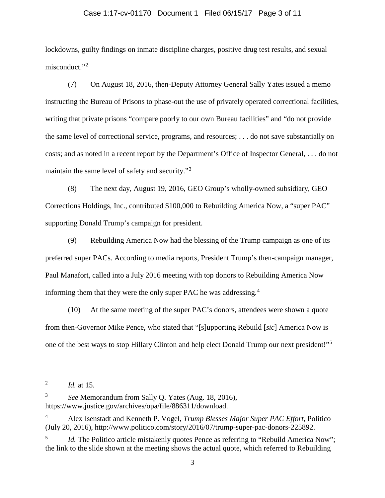#### Case 1:17-cv-01170 Document 1 Filed 06/15/17 Page 3 of 11

lockdowns, guilty findings on inmate discipline charges, positive drug test results, and sexual misconduct."<sup>[2](#page-2-0)</sup>

(7) On August 18, 2016, then-Deputy Attorney General Sally Yates issued a memo instructing the Bureau of Prisons to phase-out the use of privately operated correctional facilities, writing that private prisons "compare poorly to our own Bureau facilities" and "do not provide the same level of correctional service, programs, and resources; . . . do not save substantially on costs; and as noted in a recent report by the Department's Office of Inspector General, . . . do not maintain the same level of safety and security."<sup>[3](#page-2-1)</sup>

(8) The next day, August 19, 2016, GEO Group's wholly-owned subsidiary, GEO Corrections Holdings, Inc., contributed \$100,000 to Rebuilding America Now, a "super PAC" supporting Donald Trump's campaign for president.

(9) Rebuilding America Now had the blessing of the Trump campaign as one of its preferred super PACs. According to media reports, President Trump's then-campaign manager, Paul Manafort, called into a July 2016 meeting with top donors to Rebuilding America Now informing them that they were the only super PAC he was addressing.<sup>[4](#page-2-2)</sup>

(10) At the same meeting of the super PAC's donors, attendees were shown a quote from then-Governor Mike Pence, who stated that "[s]upporting Rebuild [*sic*] America Now is one of the best ways to stop Hillary Clinton and help elect Donald Trump our next president!"[5](#page-2-3)

<span id="page-2-0"></span> <sup>2</sup> *Id.* at 15.

<span id="page-2-1"></span><sup>3</sup> *See* Memorandum from Sally Q. Yates (Aug. 18, 2016), https://www.justice.gov/archives/opa/file/886311/download.

<span id="page-2-2"></span><sup>4</sup> Alex Isenstadt and Kenneth P. Vogel, *Trump Blesses Major Super PAC Effort*, Politico (July 20, 2016), http://www.politico.com/story/2016/07/trump-super-pac-donors-225892.

<span id="page-2-3"></span>Id. The Politico article mistakenly quotes Pence as referring to "Rebuild America Now"; the link to the slide shown at the meeting shows the actual quote, which referred to Rebuilding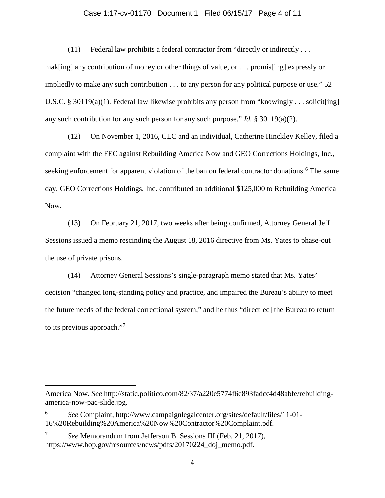#### Case 1:17-cv-01170 Document 1 Filed 06/15/17 Page 4 of 11

(11) Federal law prohibits a federal contractor from "directly or indirectly . . .

mak[ing] any contribution of money or other things of value, or . . . promis[ing] expressly or impliedly to make any such contribution . . . to any person for any political purpose or use." 52 U.S.C. § 30119(a)(1). Federal law likewise prohibits any person from "knowingly . . . solicit [ing] any such contribution for any such person for any such purpose." *Id.* § 30119(a)(2).

(12) On November 1, 2016, CLC and an individual, Catherine Hinckley Kelley, filed a complaint with the FEC against Rebuilding America Now and GEO Corrections Holdings, Inc., seeking enforcement for apparent violation of the ban on federal contractor donations.<sup>[6](#page-3-0)</sup> The same day, GEO Corrections Holdings, Inc. contributed an additional \$125,000 to Rebuilding America Now.

(13) On February 21, 2017, two weeks after being confirmed, Attorney General Jeff Sessions issued a memo rescinding the August 18, 2016 directive from Ms. Yates to phase-out the use of private prisons.

(14) Attorney General Sessions's single-paragraph memo stated that Ms. Yates' decision "changed long-standing policy and practice, and impaired the Bureau's ability to meet the future needs of the federal correctional system," and he thus "direct[ed] the Bureau to return to its previous approach."[7](#page-3-1)

 $\overline{a}$ 

America Now. *See* http://static.politico.com/82/37/a220e5774f6e893fadcc4d48abfe/rebuildingamerica-now-pac-slide.jpg.

<span id="page-3-0"></span><sup>6</sup> *See* Complaint, http://www.campaignlegalcenter.org/sites/default/files/11-01- 16%20Rebuilding%20America%20Now%20Contractor%20Complaint.pdf.

<span id="page-3-1"></span><sup>7</sup> *See* Memorandum from Jefferson B. Sessions III (Feb. 21, 2017), https://www.bop.gov/resources/news/pdfs/20170224\_doj\_memo.pdf.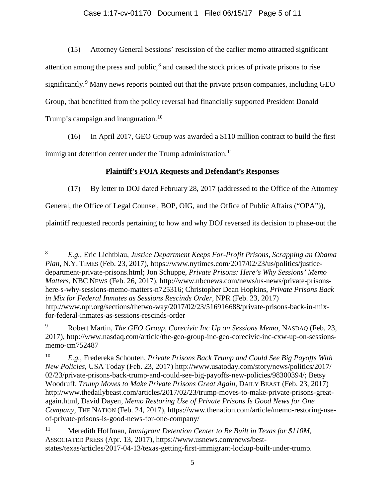### Case 1:17-cv-01170 Document 1 Filed 06/15/17 Page 5 of 11

(15) Attorney General Sessions' rescission of the earlier memo attracted significant attention among the press and public, $\delta$  and caused the stock prices of private prisons to rise significantly.<sup>[9](#page-4-1)</sup> Many news reports pointed out that the private prison companies, including GEO Group, that benefitted from the policy reversal had financially supported President Donald Trump's campaign and inauguration.<sup>[10](#page-4-2)</sup>

(16) In April 2017, GEO Group was awarded a \$110 million contract to build the first

immigrant detention center under the Trump administration.<sup>[11](#page-4-3)</sup>

## **Plaintiff's FOIA Requests and Defendant's Responses**

(17) By letter to DOJ dated February 28, 2017 (addressed to the Office of the Attorney

General, the Office of Legal Counsel, BOP, OIG, and the Office of Public Affairs ("OPA")),

plaintiff requested records pertaining to how and why DOJ reversed its decision to phase-out the

<span id="page-4-0"></span> <sup>8</sup> *E.g.*, Eric Lichtblau, *Justice Department Keeps For-Profit Prisons, Scrapping an Obama Plan*, N.Y. TIMES (Feb. 23, 2017), https://www.nytimes.com/2017/02/23/us/politics/justicedepartment-private-prisons.html; Jon Schuppe, *Private Prisons: Here's Why Sessions' Memo Matters*, NBC NEWS (Feb. 26, 2017), http://www.nbcnews.com/news/us-news/private-prisonshere-s-why-sessions-memo-matters-n725316; Christopher Dean Hopkins, *Private Prisons Back in Mix for Federal Inmates as Sessions Rescinds Order,* NPR (Feb. 23, 2017) http://www.npr.org/sections/thetwo-way/2017/02/23/516916688/private-prisons-back-in-mixfor-federal-inmates-as-sessions-rescinds-order

<span id="page-4-1"></span><sup>9</sup> Robert Martin, *The GEO Group, Corecivic Inc Up on Sessions Memo*, NASDAQ (Feb. 23, 2017), http://www.nasdaq.com/article/the-geo-group-inc-geo-corecivic-inc-cxw-up-on-sessionsmemo-cm752487

<span id="page-4-2"></span><sup>10</sup> *E.g.*, Fredereka Schouten, *Private Prisons Back Trump and Could See Big Payoffs With New Policies*, USA Today (Feb. 23, 2017) http://www.usatoday.com/story/news/politics/2017/ 02/23/private-prisons-back-trump-and-could-see-big-payoffs-new-policies/98300394/; Betsy Woodruff, *Trump Moves to Make Private Prisons Great Again,* DAILY BEAST (Feb. 23, 2017) http://www.thedailybeast.com/articles/2017/02/23/trump-moves-to-make-private-prisons-greatagain.html, David Dayen, *Memo Restoring Use of Private Prisons Is Good News for One Company*, THE NATION (Feb. 24, 2017), https://www.thenation.com/article/memo-restoring-useof-private-prisons-is-good-news-for-one-company/

<span id="page-4-3"></span><sup>11</sup> Meredith Hoffman, *Immigrant Detention Center to Be Built in Texas for \$110M*, ASSOCIATED PRESS (Apr. 13, 2017), https://www.usnews.com/news/beststates/texas/articles/2017-04-13/texas-getting-first-immigrant-lockup-built-under-trump.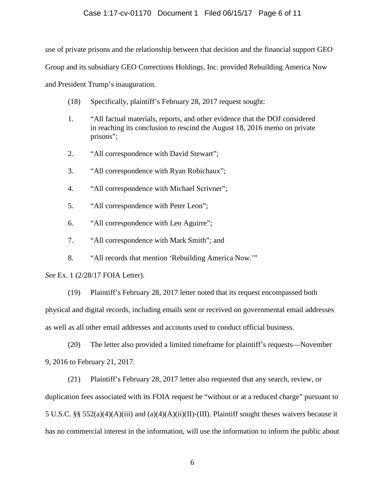#### Case 1:17-cv-01170 Document 1 Filed 06/15/17 Page 6 of 11

use of private prisons and the relationship between that decision and the financial support GEO

Group and its subsidiary GEO Corrections Holdings, Inc. provided Rebuilding America Now

and President Trump's inauguration.

- (18) Specifically, plaintiff's February 28, 2017 request sought:
- 1. "All factual materials, reports, and other evidence that the DOJ considered in reaching its conclusion to rescind the August 18, 2016 memo on private prisons";
- 2. "All correspondence with David Stewart";
- 3. "All correspondence with Ryan Robichaux";
- 4. "All correspondence with Michael Scrivner";
- 5. "All correspondence with Peter Leon";
- 6. "All correspondence with Leo Aguirre";
- 7. "All correspondence with Mark Smith"; and
- 8. "All records that mention 'Rebuilding America Now.'"

*See* Ex. 1 (2/28/17 FOIA Letter).

(19) Plaintiff's February 28, 2017 letter noted that its request encompassed both physical and digital records, including emails sent or received on governmental email addresses as well as all other email addresses and accounts used to conduct official business.

(20) The letter also provided a limited timeframe for plaintiff's requests—November 9, 2016 to February 21, 2017.

(21) Plaintiff's February 28, 2017 letter also requested that any search, review, or duplication fees associated with its FOIA request be "without or at a reduced charge" pursuant to 5 U.S.C. §§ 552(a)(4)(A)(iii) and (a)(4)(A)(ii)(II)-(III). Plaintiff sought theses waivers because it has no commercial interest in the information, will use the information to inform the public about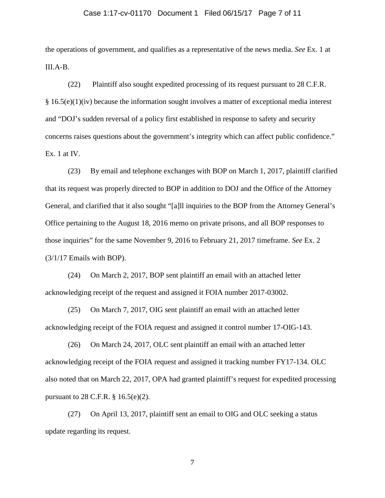#### Case 1:17-cv-01170 Document 1 Filed 06/15/17 Page 7 of 11

the operations of government, and qualifies as a representative of the news media. *See* Ex. 1 at III.A-B.

(22) Plaintiff also sought expedited processing of its request pursuant to 28 C.F.R. § 16.5(e)(1)(iv) because the information sought involves a matter of exceptional media interest and "DOJ's sudden reversal of a policy first established in response to safety and security concerns raises questions about the government's integrity which can affect public confidence." Ex. 1 at IV.

(23) By email and telephone exchanges with BOP on March 1, 2017, plaintiff clarified that its request was properly directed to BOP in addition to DOJ and the Office of the Attorney General, and clarified that it also sought "[a]ll inquiries to the BOP from the Attorney General's Office pertaining to the August 18, 2016 memo on private prisons, and all BOP responses to those inquiries" for the same November 9, 2016 to February 21, 2017 timeframe. *See* Ex. 2 (3/1/17 Emails with BOP).

(24) On March 2, 2017, BOP sent plaintiff an email with an attached letter acknowledging receipt of the request and assigned it FOIA number 2017-03002.

(25) On March 7, 2017, OIG sent plaintiff an email with an attached letter acknowledging receipt of the FOIA request and assigned it control number 17-OIG-143.

(26) On March 24, 2017, OLC sent plaintiff an email with an attached letter acknowledging receipt of the FOIA request and assigned it tracking number FY17-134. OLC also noted that on March 22, 2017, OPA had granted plaintiff's request for expedited processing pursuant to 28 C.F.R. § 16.5(e)(2).

(27) On April 13, 2017, plaintiff sent an email to OIG and OLC seeking a status update regarding its request.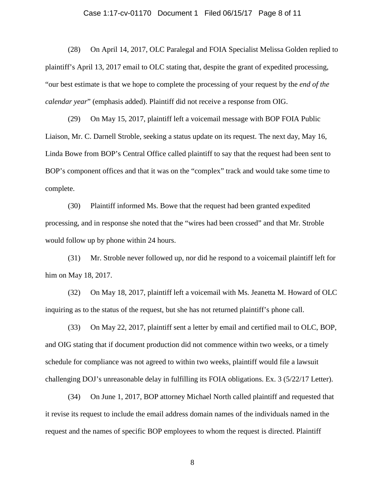#### Case 1:17-cv-01170 Document 1 Filed 06/15/17 Page 8 of 11

(28) On April 14, 2017, OLC Paralegal and FOIA Specialist Melissa Golden replied to plaintiff's April 13, 2017 email to OLC stating that, despite the grant of expedited processing, "our best estimate is that we hope to complete the processing of your request by the *end of the calendar year*" (emphasis added). Plaintiff did not receive a response from OIG.

(29) On May 15, 2017, plaintiff left a voicemail message with BOP FOIA Public Liaison, Mr. C. Darnell Stroble, seeking a status update on its request. The next day, May 16, Linda Bowe from BOP's Central Office called plaintiff to say that the request had been sent to BOP's component offices and that it was on the "complex" track and would take some time to complete.

(30) Plaintiff informed Ms. Bowe that the request had been granted expedited processing, and in response she noted that the "wires had been crossed" and that Mr. Stroble would follow up by phone within 24 hours.

(31) Mr. Stroble never followed up, nor did he respond to a voicemail plaintiff left for him on May 18, 2017.

(32) On May 18, 2017, plaintiff left a voicemail with Ms. Jeanetta M. Howard of OLC inquiring as to the status of the request, but she has not returned plaintiff's phone call.

(33) On May 22, 2017, plaintiff sent a letter by email and certified mail to OLC, BOP, and OIG stating that if document production did not commence within two weeks, or a timely schedule for compliance was not agreed to within two weeks, plaintiff would file a lawsuit challenging DOJ's unreasonable delay in fulfilling its FOIA obligations. Ex. 3 (5/22/17 Letter).

(34) On June 1, 2017, BOP attorney Michael North called plaintiff and requested that it revise its request to include the email address domain names of the individuals named in the request and the names of specific BOP employees to whom the request is directed. Plaintiff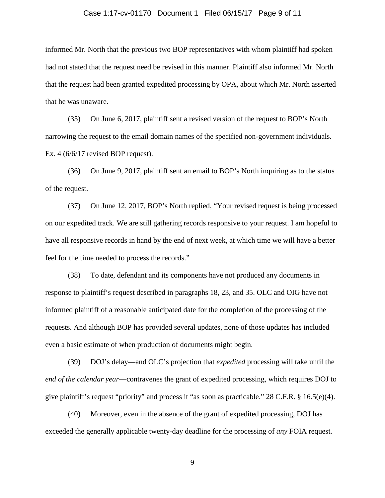#### Case 1:17-cv-01170 Document 1 Filed 06/15/17 Page 9 of 11

informed Mr. North that the previous two BOP representatives with whom plaintiff had spoken had not stated that the request need be revised in this manner. Plaintiff also informed Mr. North that the request had been granted expedited processing by OPA, about which Mr. North asserted that he was unaware.

(35) On June 6, 2017, plaintiff sent a revised version of the request to BOP's North narrowing the request to the email domain names of the specified non-government individuals. Ex. 4 (6/6/17 revised BOP request).

(36) On June 9, 2017, plaintiff sent an email to BOP's North inquiring as to the status of the request.

(37) On June 12, 2017, BOP's North replied, "Your revised request is being processed on our expedited track. We are still gathering records responsive to your request. I am hopeful to have all responsive records in hand by the end of next week, at which time we will have a better feel for the time needed to process the records."

(38) To date, defendant and its components have not produced any documents in response to plaintiff's request described in paragraphs 18, 23, and 35. OLC and OIG have not informed plaintiff of a reasonable anticipated date for the completion of the processing of the requests. And although BOP has provided several updates, none of those updates has included even a basic estimate of when production of documents might begin.

(39) DOJ's delay—and OLC's projection that *expedited* processing will take until the *end of the calendar year*—contravenes the grant of expedited processing, which requires DOJ to give plaintiff's request "priority" and process it "as soon as practicable." 28 C.F.R. § 16.5(e)(4).

(40) Moreover, even in the absence of the grant of expedited processing, DOJ has exceeded the generally applicable twenty-day deadline for the processing of *any* FOIA request.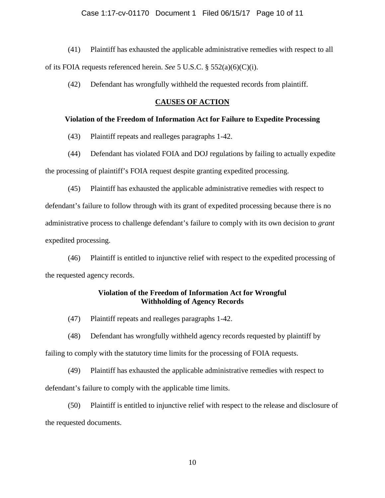#### Case 1:17-cv-01170 Document 1 Filed 06/15/17 Page 10 of 11

(41) Plaintiff has exhausted the applicable administrative remedies with respect to all of its FOIA requests referenced herein. *See* 5 U.S.C. § 552(a)(6)(C)(i).

(42) Defendant has wrongfully withheld the requested records from plaintiff.

#### **CAUSES OF ACTION**

#### **Violation of the Freedom of Information Act for Failure to Expedite Processing**

(43) Plaintiff repeats and realleges paragraphs 1-42.

(44) Defendant has violated FOIA and DOJ regulations by failing to actually expedite the processing of plaintiff's FOIA request despite granting expedited processing.

(45) Plaintiff has exhausted the applicable administrative remedies with respect to defendant's failure to follow through with its grant of expedited processing because there is no administrative process to challenge defendant's failure to comply with its own decision to *grant* expedited processing.

(46) Plaintiff is entitled to injunctive relief with respect to the expedited processing of the requested agency records.

#### **Violation of the Freedom of Information Act for Wrongful Withholding of Agency Records**

(47) Plaintiff repeats and realleges paragraphs 1-42.

(48) Defendant has wrongfully withheld agency records requested by plaintiff by failing to comply with the statutory time limits for the processing of FOIA requests.

(49) Plaintiff has exhausted the applicable administrative remedies with respect to defendant's failure to comply with the applicable time limits.

(50) Plaintiff is entitled to injunctive relief with respect to the release and disclosure of the requested documents.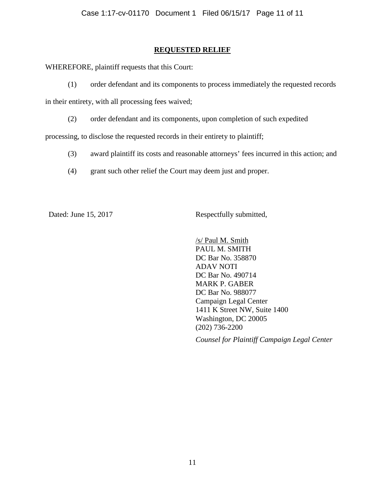### **REQUESTED RELIEF**

WHEREFORE, plaintiff requests that this Court:

(1) order defendant and its components to process immediately the requested records

in their entirety, with all processing fees waived;

(2) order defendant and its components, upon completion of such expedited

processing, to disclose the requested records in their entirety to plaintiff;

- (3) award plaintiff its costs and reasonable attorneys' fees incurred in this action; and
- (4) grant such other relief the Court may deem just and proper.

Dated: June 15, 2017 Respectfully submitted,

/s/ Paul M. Smith PAUL M. SMITH DC Bar No. 358870 ADAV NOTI DC Bar No. 490714 MARK P. GABER DC Bar No. 988077 Campaign Legal Center 1411 K Street NW, Suite 1400 Washington, DC 20005 (202) 736-2200

*Counsel for Plaintiff Campaign Legal Center*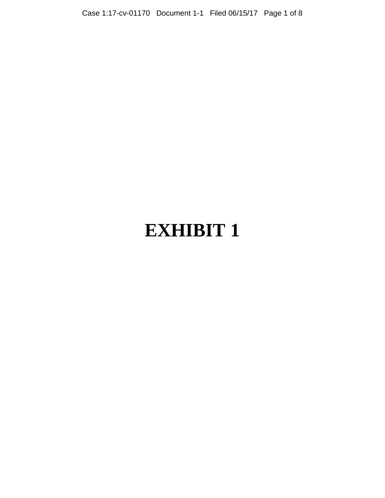# **EXHIBIT 1**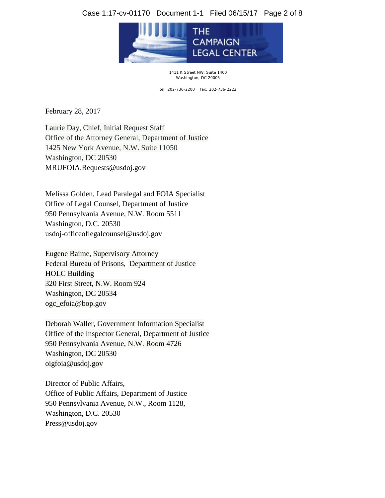### Case 1:17-cv-01170 Document 1-1 Filed 06/15/17 Page 2 of 8



1411 K Street NW, Suite 1400 Washington, DC 20005

tel: 202-736-2200 fax: 202-736-2222

February 28, 2017

Laurie Day, Chief, Initial Request Staff Office of the Attorney General, Department of Justice 1425 New York Avenue, N.W. Suite 11050 Washington, DC 20530 MRUFOIA.Requests@usdoj.gov

Melissa Golden, Lead Paralegal and FOIA Specialist Office of Legal Counsel, Department of Justice 950 Pennsylvania Avenue, N.W. Room 5511 Washington, D.C. 20530 usdoj-officeoflegalcounsel@usdoj.gov

Eugene Baime, Supervisory Attorney Federal Bureau of Prisons, Department of Justice HOLC Building 320 First Street, N.W. Room 924 Washington, DC 20534 [ogc\\_efoia@bop.gov](mailto:ogc_efoia@bop.gov)

Deborah Waller, Government Information Specialist Office of the Inspector General, Department of Justice 950 Pennsylvania Avenue, N.W. Room 4726 Washington, DC 20530 [oigfoia@usdoj.gov](mailto:oigfoia@usdoj.gov)

Director of Public Affairs, Office of Public Affairs, Department of Justice 950 Pennsylvania Avenue, N.W., Room 1128, Washington, D.C. 20530 Press@usdoj.gov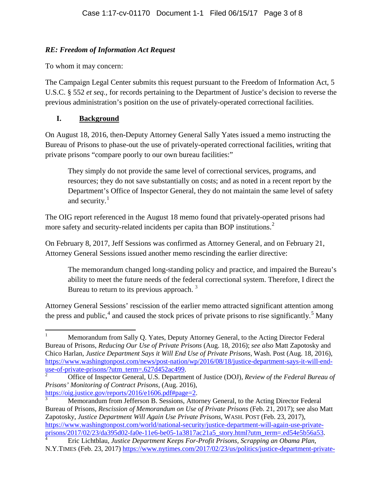## *RE: Freedom of Information Act Request*

To whom it may concern:

The Campaign Legal Center submits this request pursuant to the Freedom of Information Act, 5 U.S.C. § 552 *et seq.,* for records pertaining to the Department of Justice's decision to reverse the previous administration's position on the use of privately-operated correctional facilities.

# **I. Background**

On August 18, 2016, then-Deputy Attorney General Sally Yates issued a memo instructing the Bureau of Prisons to phase-out the use of privately-operated correctional facilities, writing that private prisons "compare poorly to our own bureau facilities:"

They simply do not provide the same level of correctional services, programs, and resources; they do not save substantially on costs; and as noted in a recent report by the Department's Office of Inspector General, they do not maintain the same level of safety and security.<sup>[1](#page-13-0)</sup>

The OIG report referenced in the August 18 memo found that privately-operated prisons had more safety and security-related incidents per capita than BOP institutions.<sup>[2](#page-13-1)</sup>

On February 8, 2017, Jeff Sessions was confirmed as Attorney General, and on February 21, Attorney General Sessions issued another memo rescinding the earlier directive:

The memorandum changed long-standing policy and practice, and impaired the Bureau's ability to meet the future needs of the federal correctional system. Therefore, I direct the Bureau to return to its previous approach.  $3$ 

Attorney General Sessions' rescission of the earlier memo attracted significant attention among the press and public,<sup>[4](#page-13-3)</sup> and caused the stock prices of private prisons to rise significantly.<sup>[5](#page-13-4)</sup> Many

<span id="page-13-2"></span>[https://oig.justice.gov/reports/2016/e1606.pdf#page=2.](https://oig.justice.gov/reports/2016/e1606.pdf#page=2)<br>
Memorandum from Jefferson B. Sessions, Attorney General, to the Acting Director Federal Bureau of Prisons, *Rescission of Memorandum on Use of Private Prisons* (Feb. 21, 2017); see also Matt

Zapotosky, *Justice Department Will Again Use Private Prisons,* WASH. POST (Feb. 23, 2017), https://www.washingtonpost.com/world/national-security/justice-department-will-again-use-private-<br>prisons/2017/02/23/da395d02-fa0e-11e6-be05-1a3817ac21a5\_story.html?utm\_term=.ed54e5b56a53.

<span id="page-13-0"></span><sup>1</sup> Memorandum from Sally Q. Yates, Deputy Attorney General, to the Acting Director Federal Bureau of Prisons, *Reducing Our Use of Private Prisons* (Aug. 18, 2016); *see also* Matt Zapotosky and Chico Harlan, *Justice Department Says it Will End Use of Private Prisons,* Wash. Post (Aug. 18, 2016), [https://www.washingtonpost.com/news/post-nation/wp/2016/08/18/justice-department-says-it-will-end](https://www.washingtonpost.com/news/post-nation/wp/2016/08/18/justice-department-says-it-will-end-use-of-private-prisons/?utm_term=.627d452ac499)[use-of-private-prisons/?utm\\_term=.627d452ac499.](https://www.washingtonpost.com/news/post-nation/wp/2016/08/18/justice-department-says-it-will-end-use-of-private-prisons/?utm_term=.627d452ac499) [2](https://www.washingtonpost.com/news/post-nation/wp/2016/08/18/justice-department-says-it-will-end-use-of-private-prisons/?utm_term=.627d452ac499) Office of Inspector General, U.S. Department of Justice (DOJ), *Review of the Federal Bureau of* 

<span id="page-13-4"></span><span id="page-13-1"></span>*Prisons' Monitoring of Contract Prisons,* (Aug. 2016),

<span id="page-13-3"></span>[prisons/2017/02/23/da395d02-fa0e-11e6-be05-1a3817ac21a5\\_story.html?utm\\_term=.ed54e5b56a53.](https://www.washingtonpost.com/world/national-security/justice-department-will-again-use-private-prisons/2017/02/23/da395d02-fa0e-11e6-be05-1a3817ac21a5_story.html?utm_term=.ed54e5b56a53) [4](https://www.washingtonpost.com/world/national-security/justice-department-will-again-use-private-prisons/2017/02/23/da395d02-fa0e-11e6-be05-1a3817ac21a5_story.html?utm_term=.ed54e5b56a53) Eric Lichtblau, *Justice Department Keeps For-Profit Prisons, Scrapping an Obama Plan*, N.Y.TIMES (Feb. 23, 2017) [https://www.nytimes.com/2017/02/23/us/politics/justice-department-private-](https://www.nytimes.com/2017/02/23/us/politics/justice-department-private-prisons.html)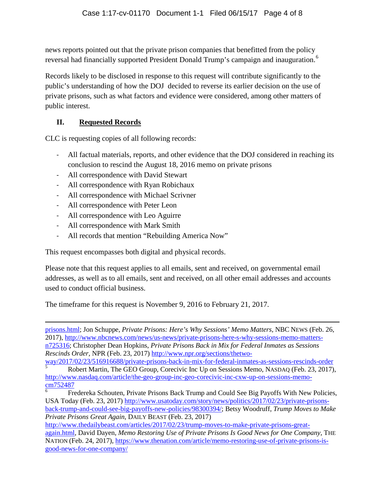news reports pointed out that the private prison companies that benefitted from the policy reversal had financially supported President Donald Trump's campaign and inauguration.<sup>[6](#page-14-0)</sup>

Records likely to be disclosed in response to this request will contribute significantly to the public's understanding of how the DOJ decided to reverse its earlier decision on the use of private prisons, such as what factors and evidence were considered, among other matters of public interest.

## **II. Requested Records**

CLC is requesting copies of all following records:

- All factual materials, reports, and other evidence that the DOJ considered in reaching its conclusion to rescind the August 18, 2016 memo on private prisons
- All correspondence with David Stewart
- All correspondence with Ryan Robichaux
- All correspondence with Michael Scrivner
- All correspondence with Peter Leon
- All correspondence with Leo Aguirre
- All correspondence with Mark Smith
- All records that mention "Rebuilding America Now"

This request encompasses both digital and physical records.

Please note that this request applies to all emails, sent and received, on governmental email addresses, as well as to all emails, sent and received, on all other email addresses and accounts used to conduct official business.

The timeframe for this request is November 9, 2016 to February 21, 2017.

l [prisons.html;](https://www.nytimes.com/2017/02/23/us/politics/justice-department-private-prisons.html) Jon Schuppe, *Private Prisons: Here's Why Sessions' Memo Matters*, NBC NEWS (Feb. 26, 2017), [http://www.nbcnews.com/news/us-news/private-prisons-here-s-why-sessions-memo-matters](http://www.nbcnews.com/news/us-news/private-prisons-here-s-why-sessions-memo-matters-n725316)[n725316;](http://www.nbcnews.com/news/us-news/private-prisons-here-s-why-sessions-memo-matters-n725316) Christopher Dean Hopkins, *Private Prisons Back in Mix for Federal Inmates as Sessions Rescinds Order,* NPR (Feb. 23, 2017) [http://www.npr.org/sections/thetwo-](http://www.npr.org/sections/thetwo-way/2017/02/23/516916688/private-prisons-back-in-mix-for-federal-inmates-as-sessions-rescinds-order)

[way/2017/02/23/516916688/private-prisons-back-in-mix-for-federal-inmates-as-sessions-rescinds-order](http://www.npr.org/sections/thetwo-way/2017/02/23/516916688/private-prisons-back-in-mix-for-federal-inmates-as-sessions-rescinds-order)<br>
<sup>[5](http://www.npr.org/sections/thetwo-way/2017/02/23/516916688/private-prisons-back-in-mix-for-federal-inmates-as-sessions-rescinds-order)</sup> Robert Martin, The GEO Group, Corecivic Inc Up on Sessions Memo, NASDAQ (Feb. 23, 2017), [http://www.nasdaq.com/article/the-geo-group-inc-geo-corecivic-inc-cxw-up-on-sessions-memo](http://www.nasdaq.com/article/the-geo-group-inc-geo-corecivic-inc-cxw-up-on-sessions-memo-cm752487)[cm752487](http://www.nasdaq.com/article/the-geo-group-inc-geo-corecivic-inc-cxw-up-on-sessions-memo-cm752487)

<span id="page-14-0"></span><sup>6</sup> Fredereka Schouten, Private Prisons Back Trump and Could See Big Payoffs With New Policies, USA Today (Feb. 23, 2017) [http://www.usatoday.com/story/news/politics/2017/02/23/private-prisons](http://www.usatoday.com/story/news/politics/2017/02/23/private-prisons-back-trump-and-could-see-big-payoffs-new-policies/98300394/)[back-trump-and-could-see-big-payoffs-new-policies/98300394/;](http://www.usatoday.com/story/news/politics/2017/02/23/private-prisons-back-trump-and-could-see-big-payoffs-new-policies/98300394/) Betsy Woodruff, *Trump Moves to Make Private Prisons Great Again,* DAILY BEAST (Feb. 23, 2017)

[http://www.thedailybeast.com/articles/2017/02/23/trump-moves-to-make-private-prisons-great](http://www.thedailybeast.com/articles/2017/02/23/trump-moves-to-make-private-prisons-great-again.html)[again.html,](http://www.thedailybeast.com/articles/2017/02/23/trump-moves-to-make-private-prisons-great-again.html) David Dayen, *Memo Restoring Use of Private Prisons Is Good News for One Company*, THE NATION (Feb. 24, 2017), [https://www.thenation.com/article/memo-restoring-use-of-private-prisons-is](https://www.thenation.com/article/memo-restoring-use-of-private-prisons-is-good-news-for-one-company/)[good-news-for-one-company/](https://www.thenation.com/article/memo-restoring-use-of-private-prisons-is-good-news-for-one-company/)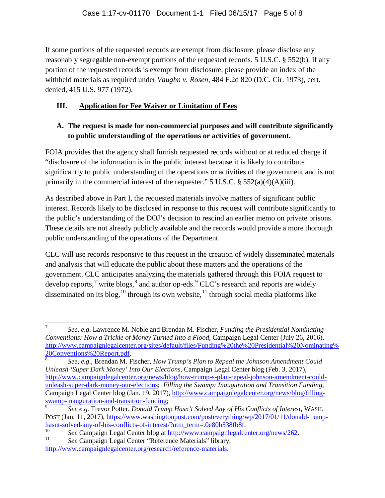If some portions of the requested records are exempt from disclosure, please disclose any reasonably segregable non-exempt portions of the requested records. 5 U.S.C. § 552(b). If any portion of the requested records is exempt from disclosure, please provide an index of the withheld materials as required under *Vaughn v. Rosen*, 484 F.2d 820 (D.C. Cir. 1973), cert. denied, 415 U.S. 977 (1972).

# **III. Application for Fee Waiver or Limitation of Fees**

# **A. The request is made for non-commercial purposes and will contribute significantly to public understanding of the operations or activities of government.**

FOIA provides that the agency shall furnish requested records without or at reduced charge if "disclosure of the information is in the public interest because it is likely to contribute significantly to public understanding of the operations or activities of the government and is not primarily in the commercial interest of the requester." 5 U.S.C.  $\S$  552(a)(4)(A)(iii).

As described above in Part I, the requested materials involve matters of significant public interest. Records likely to be disclosed in response to this request will contribute significantly to the public's understanding of the DOJ's decision to rescind an earlier memo on private prisons. These details are not already publicly available and the records would provide a more thorough public understanding of the operations of the Department.

CLC will use records responsive to this request in the creation of widely disseminated materials and analysis that will educate the public about these matters and the operations of the government. CLC anticipates analyzing the materials gathered through this FOIA request to develop reports,<sup>[7](#page-15-0)</sup> write blogs, $^8$  $^8$  and author op-eds. $^9$  $^9$  CLC's research and reports are widely disseminated on its blog,  $^{10}$  $^{10}$  $^{10}$  through its own website,  $^{11}$  $^{11}$  $^{11}$  through social media platforms like

<span id="page-15-0"></span><sup>7</sup> *See, e.g*. Lawrence M. Noble and Brendan M. Fischer, *Funding the Presidential Nominating Conventions: How a Trickle of Money Turned Into a Flood*, Campaign Legal Center (July 26, 2016), [http://www.campaignlegalcenter.org/sites/default/files/Funding%20the%20Presidential%20Nominating%](http://www.campaignlegalcenter.org/sites/default/files/Funding%20the%20Presidential%20Nominating%20Conventions%20Report.pdf)

<span id="page-15-1"></span>[<sup>20</sup>Conventions%20Report.pdf.](http://www.campaignlegalcenter.org/sites/default/files/Funding%20the%20Presidential%20Nominating%20Conventions%20Report.pdf) <sup>8</sup> *See, e.g*., Brendan M. Fischer, *How Trump's Plan to Repeal the Johnson Amendment Could Unleash 'Super Dark Money' Into Our Elections*, Campaign Legal Center blog (Feb. 3, 2017), [http://www.campaignlegalcenter.org/news/blog/how-trump-s-plan-repeal-johnson-amendment-could](http://www.campaignlegalcenter.org/news/blog/how-trump-s-plan-repeal-johnson-amendment-could-unleash-super-dark-money-our-elections)[unleash-super-dark-money-our-elections;](http://www.campaignlegalcenter.org/news/blog/how-trump-s-plan-repeal-johnson-amendment-could-unleash-super-dark-money-our-elections) *Filling the Swamp: Inauguration and Transition Funding,*  Campaign Legal Center blog (Jan. 19, 2017)[, http://www.campaignlegalcenter.org/news/blog/filling](http://www.campaignlegalcenter.org/news/blog/filling-swamp-inauguration-and-transition-funding)[swamp-inauguration-and-transition-funding;](http://www.campaignlegalcenter.org/news/blog/filling-swamp-inauguration-and-transition-funding)

<span id="page-15-2"></span><sup>9</sup> *See e.g.* Trevor Potter, *Donald Trump Hasn't Solved Any of His Conflicts of Interest,* WASH. POST (Jan. 11, 2017), https://www.washingtonpost.com/posteverything/wp/2017/01/11/donald-trump-<br>hasnt-solved-any-of-his-conflicts-of-interest/?utm\_term=.0e80b538fb8f.

<span id="page-15-3"></span><sup>&</sup>lt;sup>[10](https://www.washingtonpost.com/posteverything/wp/2017/01/11/donald-trump-hasnt-solved-any-of-his-conflicts-of-interest/?utm_term=.0e80b538fb8f)</sup> See Campaign Legal Center blog at  $\frac{http://www.campaignlegalcenter.org/news/262}{http://www.campaignlegalcenter.org/news/262}$ .<br><sup>11</sup> See Campaign Legal Center "Reference Materials" library,

<span id="page-15-4"></span>[http://www.campaignlegalcenter.org/research/reference-materials.](http://www.campaignlegalcenter.org/research/reference-materials)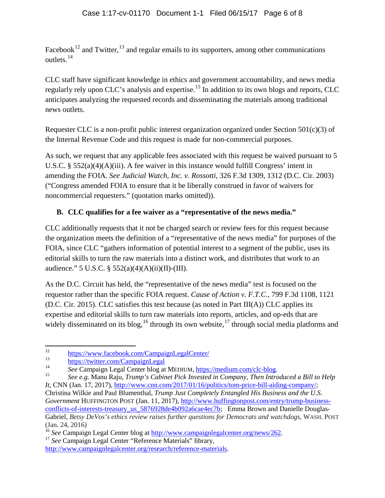Facebook<sup>[12](#page-16-0)</sup> and Twitter,<sup>[13](#page-16-1)</sup> and regular emails to its supporters, among other communications outlets.[14](#page-16-2)

CLC staff have significant knowledge in ethics and government accountability, and news media regularly rely upon CLC's analysis and expertise.<sup>[15](#page-16-3)</sup> In addition to its own blogs and reports, CLC anticipates analyzing the requested records and disseminating the materials among traditional news outlets.

Requester CLC is a non-profit public interest organization organized under Section  $501(c)(3)$  of the Internal Revenue Code and this request is made for non-commercial purposes.

As such, we request that any applicable fees associated with this request be waived pursuant to 5 U.S.C. § 552(a)(4)(A)(iii). A fee waiver in this instance would fulfill Congress' intent in amending the FOIA. *See Judicial Watch, Inc. v. Rossotti*, 326 F.3d 1309, 1312 (D.C. Cir. 2003) ("Congress amended FOIA to ensure that it be liberally construed in favor of waivers for noncommercial requesters." (quotation marks omitted)).

# **B. CLC qualifies for a fee waiver as a "representative of the news media."**

CLC additionally requests that it not be charged search or review fees for this request because the organization meets the definition of a "representative of the news media" for purposes of the FOIA, since CLC "gathers information of potential interest to a segment of the public, uses its editorial skills to turn the raw materials into a distinct work, and distributes that work to an audience." 5 U.S.C. § 552(a)(4)(A)(ii)(II)-(III).

As the D.C. Circuit has held, the "representative of the news media" test is focused on the requestor rather than the specific FOIA request. *Cause of Action v. F.T.C.,* 799 F.3d 1108, 1121 (D.C. Cir. 2015). CLC satisfies this test because (as noted in Part III(A)) CLC applies its expertise and editorial skills to turn raw materials into reports, articles, and op-eds that are widely disseminated on its blog,<sup>[16](#page-16-4)</sup> through its own website,<sup>[17](#page-16-5)</sup> through social media platforms and

<span id="page-16-0"></span><sup>&</sup>lt;sup>12</sup> <https://www.facebook.com/CampaignLegalCenter/>

<span id="page-16-1"></span> $\frac{13}{14}$  <https://twitter.com/CampaignLegal>

<span id="page-16-3"></span><span id="page-16-2"></span><sup>14</sup> *See* Campaign Legal Center blog at MEDIUM[, https://medium.com/clc-blog.](https://medium.com/clc-blog) 15 *See e.g.* Manu Raju, *Trump's Cabinet Pick Invested in Company, Then Introduced a Bill to Help It*, CNN (Jan. 17, 2017)[, http://www.cnn.com/2017/01/16/politics/tom-price-bill-aiding-company/;](http://www.cnn.com/2017/01/16/politics/tom-price-bill-aiding-company/)

Christina Wilkie and Paul Blumenthal, *Trump Just Completely Entangled His Business and the U.S. Government* HUFFINGTON POST (Jan. 11, 2017), [http://www.huffingtonpost.com/entry/trump-business](http://www.huffingtonpost.com/entry/trump-business-conflicts-of-interests-treasury_us_5876928de4b092a6cae4ec7b)conflicts-of-interests-treasury us 5876928de4b092a6cae4ec7b; Emma Brown and Danielle Douglas-Gabriel, *Betsy DeVos's ethics review raises further questions for Democrats and watchdogs*, WASH. POST (Jan. 24, 2016)

<span id="page-16-4"></span><sup>&</sup>lt;sup>16</sup> *See* Campaign Legal Center blog at <u>http://www.campaignlegalcenter.org/news/262</u>.<br><sup>17</sup> *See* Campaign Legal Center "Reference Materials" library,

<span id="page-16-5"></span>

[http://www.campaignlegalcenter.org/research/reference-materials.](http://www.campaignlegalcenter.org/research/reference-materials)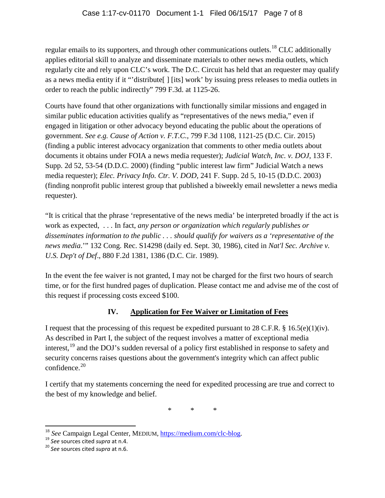regular emails to its supporters, and through other communications outlets.<sup>[18](#page-17-0)</sup> CLC additionally applies editorial skill to analyze and disseminate materials to other news media outlets, which regularly cite and rely upon CLC's work. The D.C. Circuit has held that an requester may qualify as a news media entity if it "'distribute[ ] [its] work' by issuing press releases to media outlets in order to reach the public indirectly" 799 F.3d. at 1125-26.

Courts have found that other organizations with functionally similar missions and engaged in similar public education activities qualify as "representatives of the news media," even if engaged in litigation or other advocacy beyond educating the public about the operations of government. *See e.g. Cause of Action v. F.T.C.,* 799 F.3d 1108, 1121-25 (D.C. Cir. 2015) (finding a public interest advocacy organization that comments to other media outlets about documents it obtains under FOIA a news media requester); *Judicial Watch, Inc. v. DOJ*, 133 F. Supp. 2d 52, 53-54 (D.D.C. 2000) (finding "public interest law firm" Judicial Watch a news media requester); *Elec. Privacy Info. Ctr. V. DOD,* 241 F. Supp. 2d 5, 10-15 (D.D.C. 2003) (finding nonprofit public interest group that published a biweekly email newsletter a news media requester).

"It is critical that the phrase 'representative of the news media' be interpreted broadly if the act is work as expected, . . . In fact, *any person or organization which regularly publishes or disseminates information to the public . . . should qualify for waivers as a 'representative of the news media*.'" 132 Cong. Rec. S14298 (daily ed. Sept. 30, 1986), cited in *Nat'l Sec. Archive v. U.S. Dep't of Def*., 880 F.2d 1381, 1386 (D.C. Cir. 1989).

In the event the fee waiver is not granted, I may not be charged for the first two hours of search time, or for the first hundred pages of duplication. Please contact me and advise me of the cost of this request if processing costs exceed \$100.

# **IV. Application for Fee Waiver or Limitation of Fees**

I request that the processing of this request be expedited pursuant to 28 C.F.R. § 16.5(e)(1)(iv). As described in Part I, the subject of the request involves a matter of exceptional media interest,<sup>[19](#page-17-1)</sup> and the DOJ's sudden reversal of a policy first established in response to safety and security concerns raises questions about the government's integrity which can affect public confidence. [20](#page-17-2)

I certify that my statements concerning the need for expedited processing are true and correct to the best of my knowledge and belief.

\* \* \*

<span id="page-17-0"></span><sup>&</sup>lt;sup>18</sup> *See* Campaign Legal Center, MEDIUM, <u>https://medium.com/clc-blog</u>.<br><sup>19</sup> *See* sources cited *supra* at n.4. <sup>20</sup> *See* sources cited *supra* at n.6.

<span id="page-17-1"></span>

<span id="page-17-2"></span>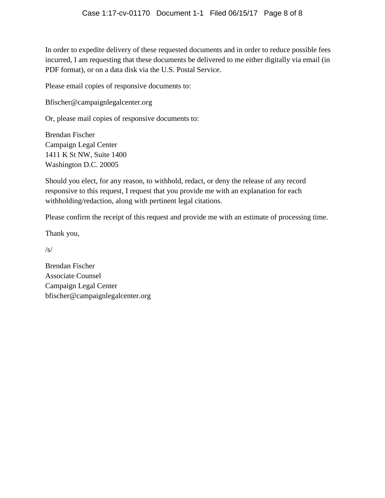In order to expedite delivery of these requested documents and in order to reduce possible fees incurred, I am requesting that these documents be delivered to me either digitally via email (in PDF format), or on a data disk via the U.S. Postal Service.

Please email copies of responsive documents to:

Bfischer@campaignlegalcenter.org

Or, please mail copies of responsive documents to:

Brendan Fischer Campaign Legal Center 1411 K St NW, Suite 1400 Washington D.C. 20005

Should you elect, for any reason, to withhold, redact, or deny the release of any record responsive to this request, I request that you provide me with an explanation for each withholding/redaction, along with pertinent legal citations.

Please confirm the receipt of this request and provide me with an estimate of processing time.

Thank you,

/s/

Brendan Fischer Associate Counsel Campaign Legal Center bfischer@campaignlegalcenter.org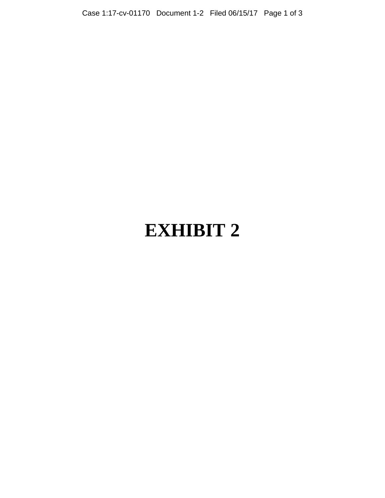# **EXHIBIT 2**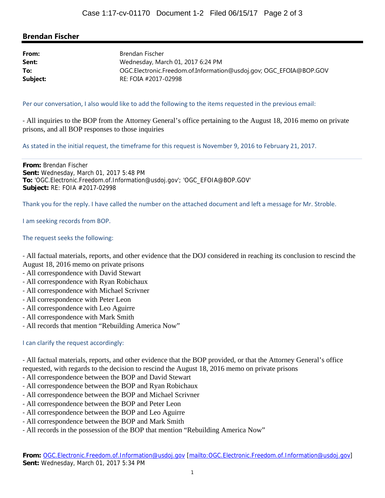## **Brendan Fischer**

| From:    | Brendan Fischer                                                    |
|----------|--------------------------------------------------------------------|
| Sent:    | Wednesday, March 01, 2017 6:24 PM                                  |
| To:      | OGC.Electronic.Freedom.of.Information@usdoj.gov; OGC_EFOIA@BOP.GOV |
| Subject: | RE: FOIA #2017-02998                                               |

Per our conversation, I also would like to add the following to the items requested in the previous email:

‐ All inquiries to the BOP from the Attorney General's office pertaining to the August 18, 2016 memo on private prisons, and all BOP responses to those inquiries

As stated in the initial request, the timeframe for this request is November 9, 2016 to February 21, 2017.

**From:** Brendan Fischer **Sent:** Wednesday, March 01, 2017 5:48 PM **To:** 'OGC.Electronic.Freedom.of.Information@usdoj.gov'; 'OGC\_EFOIA@BOP.GOV' **Subject:** RE: FOIA #2017-02998

Thank you for the reply. I have called the number on the attached document and left a message for Mr. Stroble.

I am seeking records from BOP.

#### The request seeks the following:

‐ All factual materials, reports, and other evidence that the DOJ considered in reaching its conclusion to rescind the August 18, 2016 memo on private prisons

- ‐ All correspondence with David Stewart
- ‐ All correspondence with Ryan Robichaux
- ‐ All correspondence with Michael Scrivner
- ‐ All correspondence with Peter Leon
- ‐ All correspondence with Leo Aguirre
- ‐ All correspondence with Mark Smith
- ‐ All records that mention "Rebuilding America Now"

I can clarify the request accordingly:

‐ All factual materials, reports, and other evidence that the BOP provided, or that the Attorney General's office requested, with regards to the decision to rescind the August 18, 2016 memo on private prisons

- ‐ All correspondence between the BOP and David Stewart
- ‐ All correspondence between the BOP and Ryan Robichaux
- ‐ All correspondence between the BOP and Michael Scrivner
- ‐ All correspondence between the BOP and Peter Leon
- ‐ All correspondence between the BOP and Leo Aguirre
- ‐ All correspondence between the BOP and Mark Smith
- ‐ All records in the possession of the BOP that mention "Rebuilding America Now"

**From:** OGC.Electronic.Freedom.of.Information@usdoj.gov [mailto:OGC.Electronic.Freedom.of.Information@usdoj.gov] **Sent:** Wednesday, March 01, 2017 5:34 PM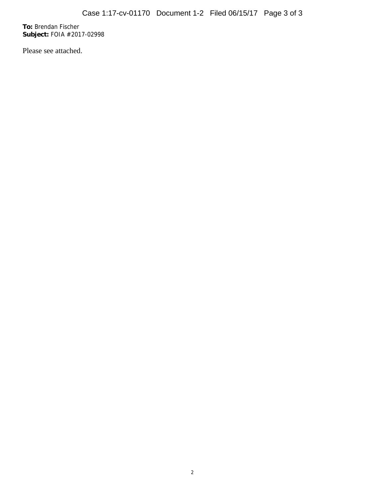**To:** Brendan Fischer **Subject:** FOIA #2017-02998

Please see attached.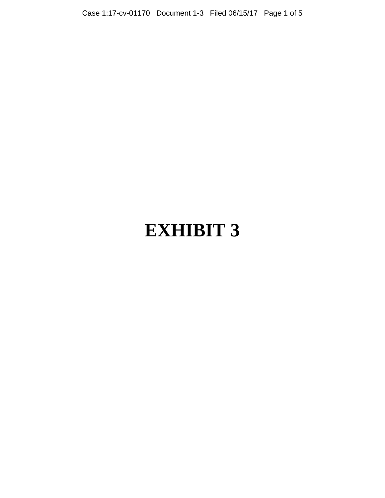# **EXHIBIT 3**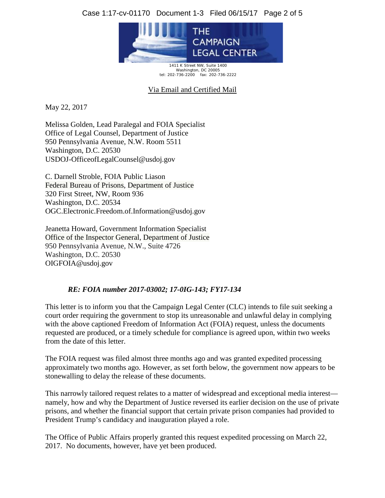## Case 1:17-cv-01170 Document 1-3 Filed 06/15/17 Page 2 of 5



1411 K Street NW, Suite 1400 Washington, DC 20005 tel: 202-736-2200 fax: 202-736-2222

Via Email and Certified Mail

May 22, 2017

Melissa Golden, Lead Paralegal and FOIA Specialist Office of Legal Counsel, Department of Justice 950 Pennsylvania Avenue, N.W. Room 5511 Washington, D.C. 20530 USDOJ-OfficeofLegalCounsel@usdoj.gov

C. Darnell Stroble, FOIA Public Liason Federal Bureau of Prisons, Department of Justice 320 First Street, NW, Room 936 Washington, D.C. 20534 OGC.Electronic.Freedom.of.Information@usdoj.gov

Jeanetta Howard, Government Information Specialist Office of the Inspector General, Department of Justice 950 Pennsylvania Avenue, N.W., Suite 4726 Washington, D.C. 20530 OIGFOIA@usdoj.gov

### *RE: FOIA number 2017-03002; 17-0IG-143; FY17-134*

This letter is to inform you that the Campaign Legal Center (CLC) intends to file suit seeking a court order requiring the government to stop its unreasonable and unlawful delay in complying with the above captioned Freedom of Information Act (FOIA) request, unless the documents requested are produced, or a timely schedule for compliance is agreed upon, within two weeks from the date of this letter.

The FOIA request was filed almost three months ago and was granted expedited processing approximately two months ago. However, as set forth below, the government now appears to be stonewalling to delay the release of these documents.

This narrowly tailored request relates to a matter of widespread and exceptional media interest namely, how and why the Department of Justice reversed its earlier decision on the use of private prisons, and whether the financial support that certain private prison companies had provided to President Trump's candidacy and inauguration played a role.

The Office of Public Affairs properly granted this request expedited processing on March 22, 2017. No documents, however, have yet been produced.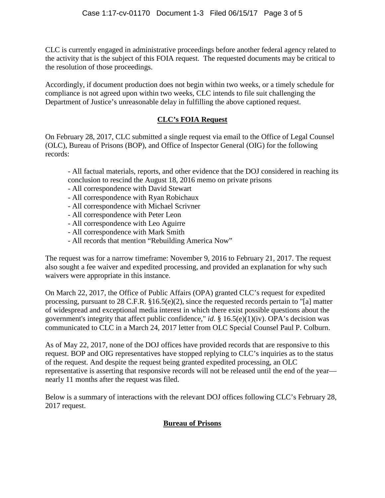CLC is currently engaged in administrative proceedings before another federal agency related to the activity that is the subject of this FOIA request. The requested documents may be critical to the resolution of those proceedings.

Accordingly, if document production does not begin within two weeks, or a timely schedule for compliance is not agreed upon within two weeks, CLC intends to file suit challenging the Department of Justice's unreasonable delay in fulfilling the above captioned request.

# **CLC's FOIA Request**

On February 28, 2017, CLC submitted a single request via email to the Office of Legal Counsel (OLC), Bureau of Prisons (BOP), and Office of Inspector General (OIG) for the following records:

- All factual materials, reports, and other evidence that the DOJ considered in reaching its conclusion to rescind the August 18, 2016 memo on private prisons

- All correspondence with David Stewart
- All correspondence with Ryan Robichaux
- All correspondence with Michael Scrivner
- All correspondence with Peter Leon
- All correspondence with Leo Aguirre
- All correspondence with Mark Smith
- All records that mention "Rebuilding America Now"

The request was for a narrow timeframe: November 9, 2016 to February 21, 2017. The request also sought a fee waiver and expedited processing, and provided an explanation for why such waivers were appropriate in this instance.

On March 22, 2017, the Office of Public Affairs (OPA) granted CLC's request for expedited processing, pursuant to 28 C.F.R. §16.5(e)(2), since the requested records pertain to "[a] matter of widespread and exceptional media interest in which there exist possible questions about the government's integrity that affect public confidence," *id*. § 16.5(e)(1)(iv). OPA's decision was communicated to CLC in a March 24, 2017 letter from OLC Special Counsel Paul P. Colburn.

As of May 22, 2017, none of the DOJ offices have provided records that are responsive to this request. BOP and OIG representatives have stopped replying to CLC's inquiries as to the status of the request. And despite the request being granted expedited processing, an OLC representative is asserting that responsive records will not be released until the end of the year nearly 11 months after the request was filed.

Below is a summary of interactions with the relevant DOJ offices following CLC's February 28, 2017 request.

# **Bureau of Prisons**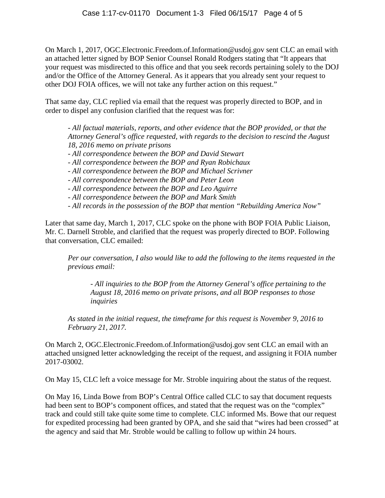On March 1, 2017, OGC.Electronic.Freedom.of.Information@usdoj.gov sent CLC an email with an attached letter signed by BOP Senior Counsel Ronald Rodgers stating that "It appears that your request was misdirected to this office and that you seek records pertaining solely to the DOJ and/or the Office of the Attorney General. As it appears that you already sent your request to other DOJ FOIA offices, we will not take any further action on this request."

That same day, CLC replied via email that the request was properly directed to BOP, and in order to dispel any confusion clarified that the request was for:

*- All factual materials, reports, and other evidence that the BOP provided, or that the Attorney General's office requested, with regards to the decision to rescind the August 18, 2016 memo on private prisons* 

- *- All correspondence between the BOP and David Stewart*
- *- All correspondence between the BOP and Ryan Robichaux*
- *- All correspondence between the BOP and Michael Scrivner*
- *- All correspondence between the BOP and Peter Leon*
- *- All correspondence between the BOP and Leo Aguirre*
- *- All correspondence between the BOP and Mark Smith*
- *- All records in the possession of the BOP that mention "Rebuilding America Now"*

Later that same day, March 1, 2017, CLC spoke on the phone with BOP FOIA Public Liaison, Mr. C. Darnell Stroble, and clarified that the request was properly directed to BOP. Following that conversation, CLC emailed:

*Per our conversation, I also would like to add the following to the items requested in the previous email:*

*- All inquiries to the BOP from the Attorney General's office pertaining to the August 18, 2016 memo on private prisons, and all BOP responses to those inquiries*

*As stated in the initial request, the timeframe for this request is November 9, 2016 to February 21, 2017.*

On March 2, OGC.Electronic.Freedom.of.Information@usdoj.gov sent CLC an email with an attached unsigned letter acknowledging the receipt of the request, and assigning it FOIA number 2017-03002.

On May 15, CLC left a voice message for Mr. Stroble inquiring about the status of the request.

On May 16, Linda Bowe from BOP's Central Office called CLC to say that document requests had been sent to BOP's component offices, and stated that the request was on the "complex" track and could still take quite some time to complete. CLC informed Ms. Bowe that our request for expedited processing had been granted by OPA, and she said that "wires had been crossed" at the agency and said that Mr. Stroble would be calling to follow up within 24 hours.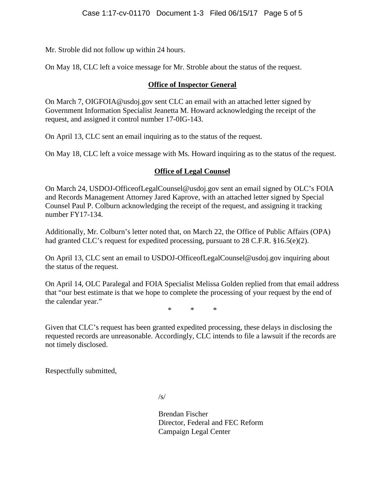Mr. Stroble did not follow up within 24 hours.

On May 18, CLC left a voice message for Mr. Stroble about the status of the request.

### **Office of Inspector General**

On March 7, OIGFOIA@usdoj.gov sent CLC an email with an attached letter signed by Government Information Specialist Jeanetta M. Howard acknowledging the receipt of the request, and assigned it control number 17-0IG-143.

On April 13, CLC sent an email inquiring as to the status of the request.

On May 18, CLC left a voice message with Ms. Howard inquiring as to the status of the request.

## **Office of Legal Counsel**

On March 24, USDOJ-OfficeofLegalCounsel@usdoj.gov sent an email signed by OLC's FOIA and Records Management Attorney Jared Kaprove, with an attached letter signed by Special Counsel Paul P. Colburn acknowledging the receipt of the request, and assigning it tracking number FY17-134.

Additionally, Mr. Colburn's letter noted that, on March 22, the Office of Public Affairs (OPA) had granted CLC's request for expedited processing, pursuant to 28 C.F.R. §16.5(e)(2).

On April 13, CLC sent an email to USDOJ-OfficeofLegalCounsel@usdoj.gov inquiring about the status of the request.

On April 14, OLC Paralegal and FOIA Specialist Melissa Golden replied from that email address that "our best estimate is that we hope to complete the processing of your request by the end of the calendar year."

\* \* \*

Given that CLC's request has been granted expedited processing, these delays in disclosing the requested records are unreasonable. Accordingly, CLC intends to file a lawsuit if the records are not timely disclosed.

Respectfully submitted,

 $\sqrt{s}$ 

Brendan Fischer Director, Federal and FEC Reform Campaign Legal Center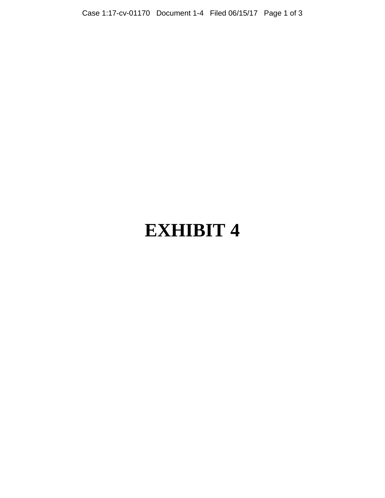# **EXHIBIT 4**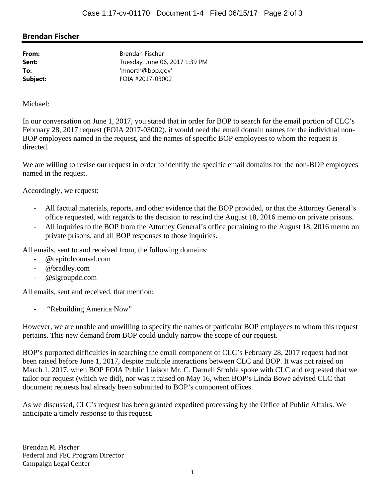## **Brendan Fischer**

**From:** Brendan Fischer **Sent:** Tuesday, June 06, 2017 1:39 PM **To:** 'mnorth@bop.gov' **Subject:** FOIA #2017-03002

Michael:

In our conversation on June 1, 2017, you stated that in order for BOP to search for the email portion of CLC's February 28, 2017 request (FOIA 2017-03002), it would need the email domain names for the individual non-BOP employees named in the request, and the names of specific BOP employees to whom the request is directed.

We are willing to revise our request in order to identify the specific email domains for the non-BOP employees named in the request.

Accordingly, we request:

- ‐ All factual materials, reports, and other evidence that the BOP provided, or that the Attorney General's office requested, with regards to the decision to rescind the August 18, 2016 memo on private prisons.
- All inquiries to the BOP from the Attorney General's office pertaining to the August 18, 2016 memo on private prisons, and all BOP responses to those inquiries.

All emails, sent to and received from, the following domains:

- ‐ @capitolcounsel.com
- ‐ @bradley.com
- ‐ @slgroupdc.com

All emails, sent and received, that mention:

‐ "Rebuilding America Now"

However, we are unable and unwilling to specify the names of particular BOP employees to whom this request pertains. This new demand from BOP could unduly narrow the scope of our request.

BOP's purported difficulties in searching the email component of CLC's February 28, 2017 request had not been raised before June 1, 2017, despite multiple interactions between CLC and BOP. It was not raised on March 1, 2017, when BOP FOIA Public Liaison Mr. C. Darnell Stroble spoke with CLC and requested that we tailor our request (which we did), nor was it raised on May 16, when BOP's Linda Bowe advised CLC that document requests had already been submitted to BOP's component offices.

As we discussed, CLC's request has been granted expedited processing by the Office of Public Affairs. We anticipate a timely response to this request.

Brendan M. Fischer Federal and FEC Program Director Campaign Legal Center